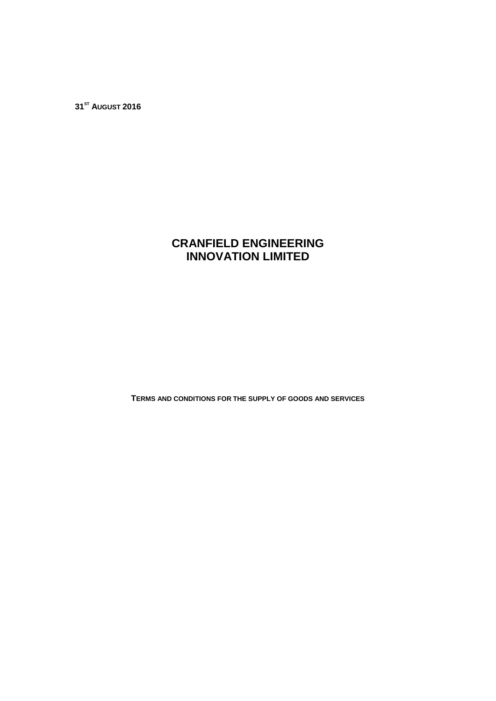**31ST AUGUST 2016**

# **CRANFIELD ENGINEERING INNOVATION LIMITED**

**TERMS AND CONDITIONS FOR THE SUPPLY OF GOODS AND SERVICES**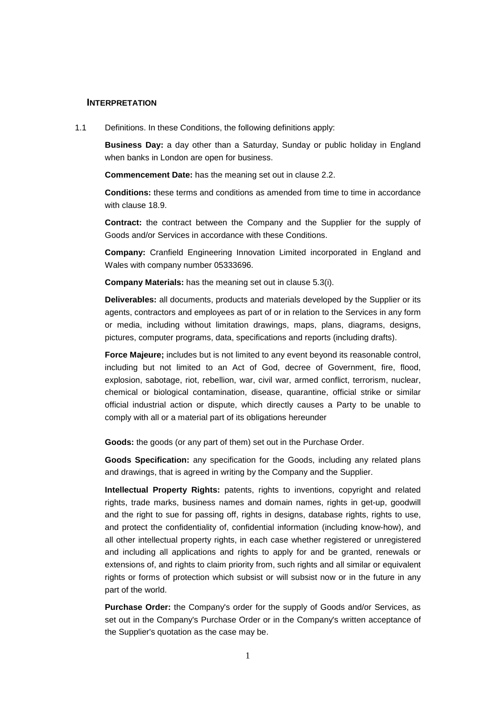#### **INTERPRETATION**

1.1 Definitions. In these Conditions, the following definitions apply:

**Business Day:** a day other than a Saturday, Sunday or public holiday in England when banks in London are open for business.

**Commencement Date:** has the meaning set out in clause 2.2.

**Conditions:** these terms and conditions as amended from time to time in accordance with clause 18.9.

**Contract:** the contract between the Company and the Supplier for the supply of Goods and/or Services in accordance with these Conditions.

**Company:** Cranfield Engineering Innovation Limited incorporated in England and Wales with company number 05333696.

**Company Materials:** has the meaning set out in clause 5.3(i).

**Deliverables:** all documents, products and materials developed by the Supplier or its agents, contractors and employees as part of or in relation to the Services in any form or media, including without limitation drawings, maps, plans, diagrams, designs, pictures, computer programs, data, specifications and reports (including drafts).

**Force Majeure;** includes but is not limited to any event beyond its reasonable control, including but not limited to an Act of God, decree of Government, fire, flood, explosion, sabotage, riot, rebellion, war, civil war, armed conflict, terrorism, nuclear, chemical or biological contamination, disease, quarantine, official strike or similar official industrial action or dispute, which directly causes a Party to be unable to comply with all or a material part of its obligations hereunder

**Goods:** the goods (or any part of them) set out in the Purchase Order.

**Goods Specification:** any specification for the Goods, including any related plans and drawings, that is agreed in writing by the Company and the Supplier.

**Intellectual Property Rights:** patents, rights to inventions, copyright and related rights, trade marks, business names and domain names, rights in get-up, goodwill and the right to sue for passing off, rights in designs, database rights, rights to use, and protect the confidentiality of, confidential information (including know-how), and all other intellectual property rights, in each case whether registered or unregistered and including all applications and rights to apply for and be granted, renewals or extensions of, and rights to claim priority from, such rights and all similar or equivalent rights or forms of protection which subsist or will subsist now or in the future in any part of the world.

**Purchase Order:** the Company's order for the supply of Goods and/or Services, as set out in the Company's Purchase Order or in the Company's written acceptance of the Supplier's quotation as the case may be.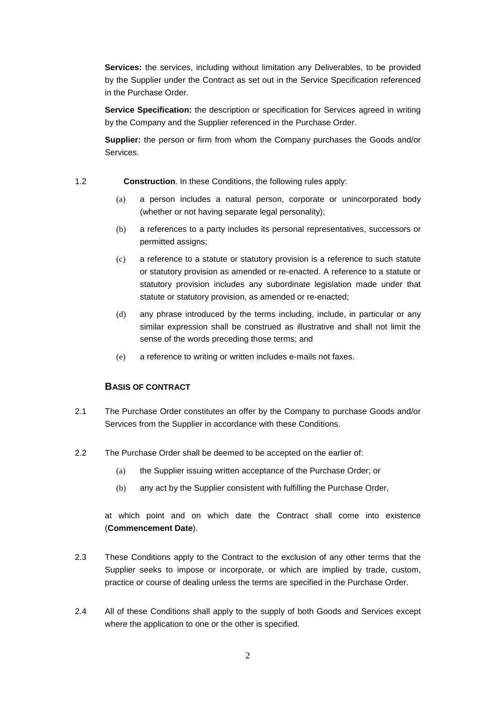**Services:** the services, including without limitation any Deliverables, to be provided by the Supplier under the Contract as set out in the Service Specification referenced in the Purchase Order.

**Service Specification:** the description or specification for Services agreed in writing by the Company and the Supplier referenced in the Purchase Order.

**Supplier:** the person or firm from whom the Company purchases the Goods and/or Services.

- 1.2 **Construction**. In these Conditions, the following rules apply:
	- (a) a person includes a natural person, corporate or unincorporated body (whether or not having separate legal personality);
	- (b) a references to a party includes its personal representatives, successors or permitted assigns;
	- (c) a reference to a statute or statutory provision is a reference to such statute or statutory provision as amended or re-enacted. A reference to a statute or statutory provision includes any subordinate legislation made under that statute or statutory provision, as amended or re-enacted;
	- (d) any phrase introduced by the terms including, include, in particular or any similar expression shall be construed as illustrative and shall not limit the sense of the words preceding those terms; and
	- (e) a reference to writing or written includes e-mails not faxes.

# **BASIS OF CONTRACT**

- 2.1 The Purchase Order constitutes an offer by the Company to purchase Goods and/or Services from the Supplier in accordance with these Conditions.
- 2.2 The Purchase Order shall be deemed to be accepted on the earlier of:
	- (a) the Supplier issuing written acceptance of the Purchase Order; or
	- (b) any act by the Supplier consistent with fulfilling the Purchase Order,

at which point and on which date the Contract shall come into existence (**Commencement Date**).

- 2.3 These Conditions apply to the Contract to the exclusion of any other terms that the Supplier seeks to impose or incorporate, or which are implied by trade, custom, practice or course of dealing unless the terms are specified in the Purchase Order.
- 2.4 All of these Conditions shall apply to the supply of both Goods and Services except where the application to one or the other is specified.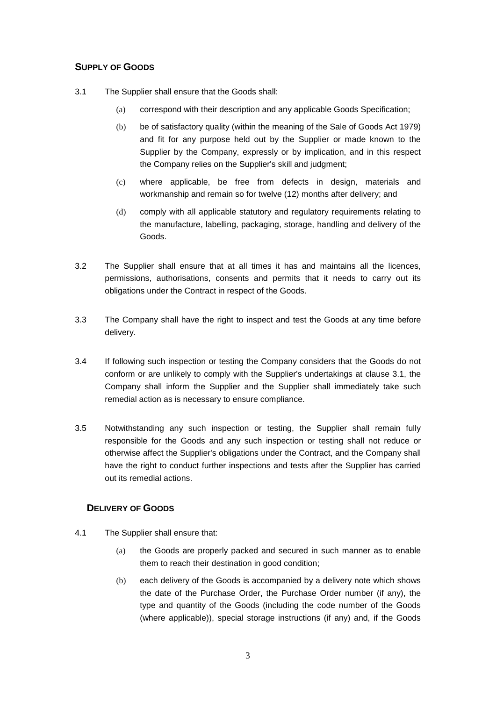# **SUPPLY OF GOODS**

- 3.1 The Supplier shall ensure that the Goods shall:
	- (a) correspond with their description and any applicable Goods Specification;
	- (b) be of satisfactory quality (within the meaning of the Sale of Goods Act 1979) and fit for any purpose held out by the Supplier or made known to the Supplier by the Company, expressly or by implication, and in this respect the Company relies on the Supplier's skill and judgment;
	- (c) where applicable, be free from defects in design, materials and workmanship and remain so for twelve (12) months after delivery; and
	- (d) comply with all applicable statutory and regulatory requirements relating to the manufacture, labelling, packaging, storage, handling and delivery of the Goods.
- 3.2 The Supplier shall ensure that at all times it has and maintains all the licences, permissions, authorisations, consents and permits that it needs to carry out its obligations under the Contract in respect of the Goods.
- 3.3 The Company shall have the right to inspect and test the Goods at any time before delivery.
- 3.4 If following such inspection or testing the Company considers that the Goods do not conform or are unlikely to comply with the Supplier's undertakings at clause 3.1, the Company shall inform the Supplier and the Supplier shall immediately take such remedial action as is necessary to ensure compliance.
- 3.5 Notwithstanding any such inspection or testing, the Supplier shall remain fully responsible for the Goods and any such inspection or testing shall not reduce or otherwise affect the Supplier's obligations under the Contract, and the Company shall have the right to conduct further inspections and tests after the Supplier has carried out its remedial actions.

# **DELIVERY OF GOODS**

- 4.1 The Supplier shall ensure that:
	- (a) the Goods are properly packed and secured in such manner as to enable them to reach their destination in good condition;
	- (b) each delivery of the Goods is accompanied by a delivery note which shows the date of the Purchase Order, the Purchase Order number (if any), the type and quantity of the Goods (including the code number of the Goods (where applicable)), special storage instructions (if any) and, if the Goods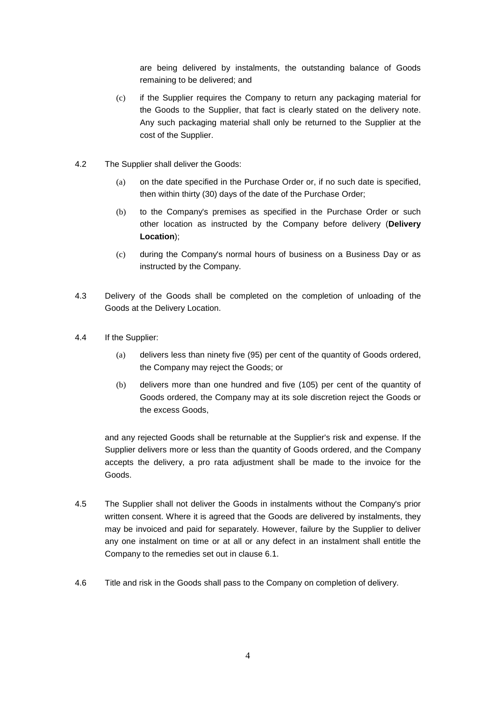are being delivered by instalments, the outstanding balance of Goods remaining to be delivered; and

- (c) if the Supplier requires the Company to return any packaging material for the Goods to the Supplier, that fact is clearly stated on the delivery note. Any such packaging material shall only be returned to the Supplier at the cost of the Supplier.
- 4.2 The Supplier shall deliver the Goods:
	- (a) on the date specified in the Purchase Order or, if no such date is specified, then within thirty (30) days of the date of the Purchase Order;
	- (b) to the Company's premises as specified in the Purchase Order or such other location as instructed by the Company before delivery (**Delivery Location**);
	- (c) during the Company's normal hours of business on a Business Day or as instructed by the Company.
- 4.3 Delivery of the Goods shall be completed on the completion of unloading of the Goods at the Delivery Location.
- 4.4 If the Supplier:
	- (a) delivers less than ninety five (95) per cent of the quantity of Goods ordered, the Company may reject the Goods; or
	- (b) delivers more than one hundred and five (105) per cent of the quantity of Goods ordered, the Company may at its sole discretion reject the Goods or the excess Goods,

and any rejected Goods shall be returnable at the Supplier's risk and expense. If the Supplier delivers more or less than the quantity of Goods ordered, and the Company accepts the delivery, a pro rata adjustment shall be made to the invoice for the Goods.

- 4.5 The Supplier shall not deliver the Goods in instalments without the Company's prior written consent. Where it is agreed that the Goods are delivered by instalments, they may be invoiced and paid for separately. However, failure by the Supplier to deliver any one instalment on time or at all or any defect in an instalment shall entitle the Company to the remedies set out in clause 6.1.
- 4.6 Title and risk in the Goods shall pass to the Company on completion of delivery.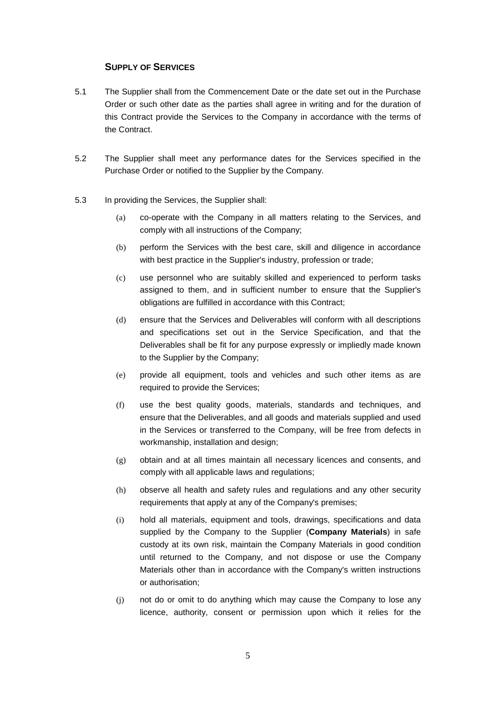# **SUPPLY OF SERVICES**

- 5.1 The Supplier shall from the Commencement Date or the date set out in the Purchase Order or such other date as the parties shall agree in writing and for the duration of this Contract provide the Services to the Company in accordance with the terms of the Contract.
- 5.2 The Supplier shall meet any performance dates for the Services specified in the Purchase Order or notified to the Supplier by the Company.
- 5.3 In providing the Services, the Supplier shall:
	- (a) co-operate with the Company in all matters relating to the Services, and comply with all instructions of the Company;
	- (b) perform the Services with the best care, skill and diligence in accordance with best practice in the Supplier's industry, profession or trade;
	- (c) use personnel who are suitably skilled and experienced to perform tasks assigned to them, and in sufficient number to ensure that the Supplier's obligations are fulfilled in accordance with this Contract;
	- (d) ensure that the Services and Deliverables will conform with all descriptions and specifications set out in the Service Specification, and that the Deliverables shall be fit for any purpose expressly or impliedly made known to the Supplier by the Company;
	- (e) provide all equipment, tools and vehicles and such other items as are required to provide the Services;
	- (f) use the best quality goods, materials, standards and techniques, and ensure that the Deliverables, and all goods and materials supplied and used in the Services or transferred to the Company, will be free from defects in workmanship, installation and design;
	- (g) obtain and at all times maintain all necessary licences and consents, and comply with all applicable laws and regulations;
	- (h) observe all health and safety rules and regulations and any other security requirements that apply at any of the Company's premises;
	- (i) hold all materials, equipment and tools, drawings, specifications and data supplied by the Company to the Supplier (**Company Materials**) in safe custody at its own risk, maintain the Company Materials in good condition until returned to the Company, and not dispose or use the Company Materials other than in accordance with the Company's written instructions or authorisation;
	- (j) not do or omit to do anything which may cause the Company to lose any licence, authority, consent or permission upon which it relies for the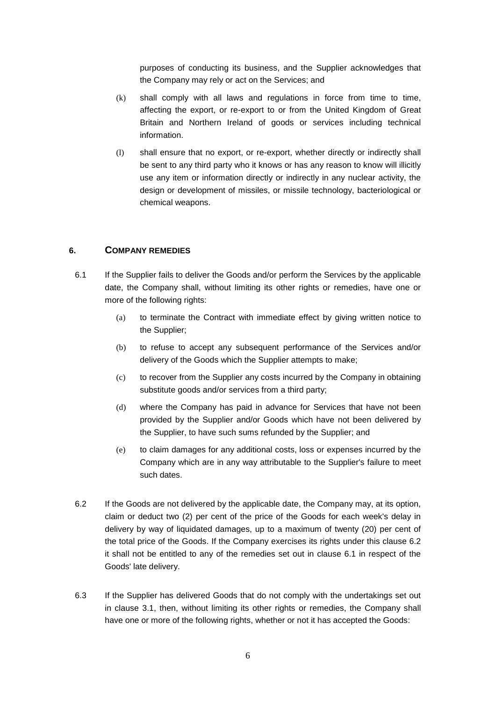purposes of conducting its business, and the Supplier acknowledges that the Company may rely or act on the Services; and

- (k) shall comply with all laws and regulations in force from time to time, affecting the export, or re-export to or from the United Kingdom of Great Britain and Northern Ireland of goods or services including technical information.
- (l) shall ensure that no export, or re-export, whether directly or indirectly shall be sent to any third party who it knows or has any reason to know will illicitly use any item or information directly or indirectly in any nuclear activity, the design or development of missiles, or missile technology, bacteriological or chemical weapons.

# **6. COMPANY REMEDIES**

- 6.1 If the Supplier fails to deliver the Goods and/or perform the Services by the applicable date, the Company shall, without limiting its other rights or remedies, have one or more of the following rights:
	- (a) to terminate the Contract with immediate effect by giving written notice to the Supplier;
	- (b) to refuse to accept any subsequent performance of the Services and/or delivery of the Goods which the Supplier attempts to make;
	- (c) to recover from the Supplier any costs incurred by the Company in obtaining substitute goods and/or services from a third party;
	- (d) where the Company has paid in advance for Services that have not been provided by the Supplier and/or Goods which have not been delivered by the Supplier, to have such sums refunded by the Supplier; and
	- (e) to claim damages for any additional costs, loss or expenses incurred by the Company which are in any way attributable to the Supplier's failure to meet such dates.
- 6.2 If the Goods are not delivered by the applicable date, the Company may, at its option, claim or deduct two (2) per cent of the price of the Goods for each week's delay in delivery by way of liquidated damages, up to a maximum of twenty (20) per cent of the total price of the Goods. If the Company exercises its rights under this clause 6.2 it shall not be entitled to any of the remedies set out in clause 6.1 in respect of the Goods' late delivery.
- 6.3 If the Supplier has delivered Goods that do not comply with the undertakings set out in clause 3.1, then, without limiting its other rights or remedies, the Company shall have one or more of the following rights, whether or not it has accepted the Goods: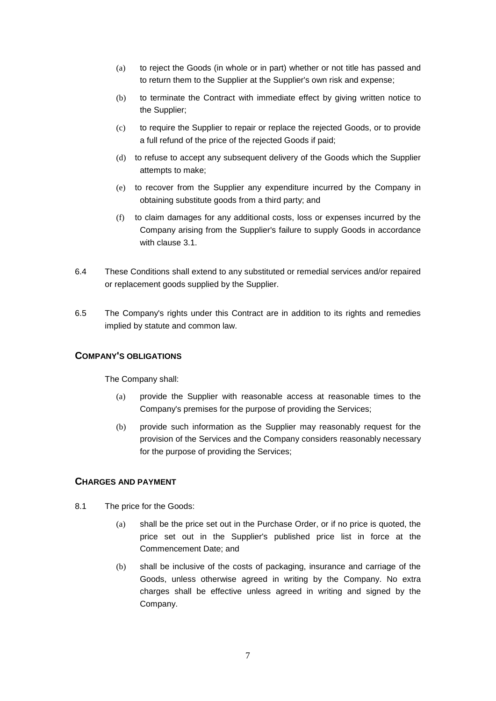- (a) to reject the Goods (in whole or in part) whether or not title has passed and to return them to the Supplier at the Supplier's own risk and expense;
- (b) to terminate the Contract with immediate effect by giving written notice to the Supplier;
- (c) to require the Supplier to repair or replace the rejected Goods, or to provide a full refund of the price of the rejected Goods if paid;
- (d) to refuse to accept any subsequent delivery of the Goods which the Supplier attempts to make;
- (e) to recover from the Supplier any expenditure incurred by the Company in obtaining substitute goods from a third party; and
- (f) to claim damages for any additional costs, loss or expenses incurred by the Company arising from the Supplier's failure to supply Goods in accordance with clause 3.1.
- 6.4 These Conditions shall extend to any substituted or remedial services and/or repaired or replacement goods supplied by the Supplier.
- 6.5 The Company's rights under this Contract are in addition to its rights and remedies implied by statute and common law.

# **COMPANY'S OBLIGATIONS**

The Company shall:

- (a) provide the Supplier with reasonable access at reasonable times to the Company's premises for the purpose of providing the Services;
- (b) provide such information as the Supplier may reasonably request for the provision of the Services and the Company considers reasonably necessary for the purpose of providing the Services;

#### **CHARGES AND PAYMENT**

- 8.1 The price for the Goods:
	- (a) shall be the price set out in the Purchase Order, or if no price is quoted, the price set out in the Supplier's published price list in force at the Commencement Date; and
	- (b) shall be inclusive of the costs of packaging, insurance and carriage of the Goods, unless otherwise agreed in writing by the Company. No extra charges shall be effective unless agreed in writing and signed by the Company.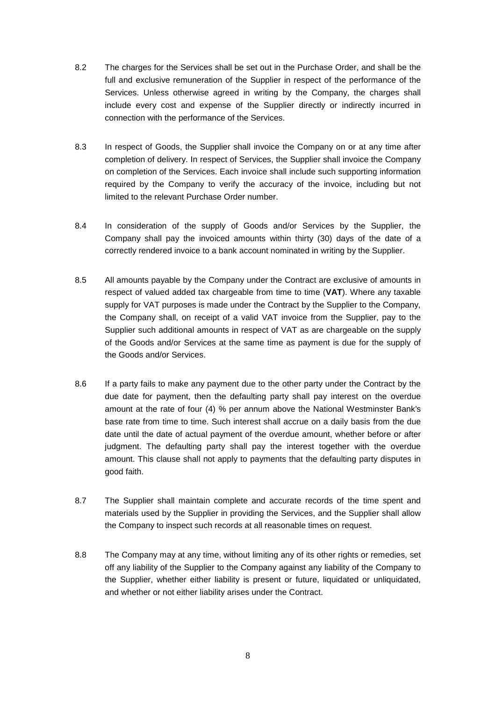- 8.2 The charges for the Services shall be set out in the Purchase Order, and shall be the full and exclusive remuneration of the Supplier in respect of the performance of the Services. Unless otherwise agreed in writing by the Company, the charges shall include every cost and expense of the Supplier directly or indirectly incurred in connection with the performance of the Services.
- 8.3 In respect of Goods, the Supplier shall invoice the Company on or at any time after completion of delivery. In respect of Services, the Supplier shall invoice the Company on completion of the Services. Each invoice shall include such supporting information required by the Company to verify the accuracy of the invoice, including but not limited to the relevant Purchase Order number.
- 8.4 In consideration of the supply of Goods and/or Services by the Supplier, the Company shall pay the invoiced amounts within thirty (30) days of the date of a correctly rendered invoice to a bank account nominated in writing by the Supplier.
- 8.5 All amounts payable by the Company under the Contract are exclusive of amounts in respect of valued added tax chargeable from time to time (**VAT**). Where any taxable supply for VAT purposes is made under the Contract by the Supplier to the Company, the Company shall, on receipt of a valid VAT invoice from the Supplier, pay to the Supplier such additional amounts in respect of VAT as are chargeable on the supply of the Goods and/or Services at the same time as payment is due for the supply of the Goods and/or Services.
- 8.6 If a party fails to make any payment due to the other party under the Contract by the due date for payment, then the defaulting party shall pay interest on the overdue amount at the rate of four (4) % per annum above the National Westminster Bank's base rate from time to time. Such interest shall accrue on a daily basis from the due date until the date of actual payment of the overdue amount, whether before or after judgment. The defaulting party shall pay the interest together with the overdue amount. This clause shall not apply to payments that the defaulting party disputes in good faith.
- 8.7 The Supplier shall maintain complete and accurate records of the time spent and materials used by the Supplier in providing the Services, and the Supplier shall allow the Company to inspect such records at all reasonable times on request.
- 8.8 The Company may at any time, without limiting any of its other rights or remedies, set off any liability of the Supplier to the Company against any liability of the Company to the Supplier, whether either liability is present or future, liquidated or unliquidated, and whether or not either liability arises under the Contract.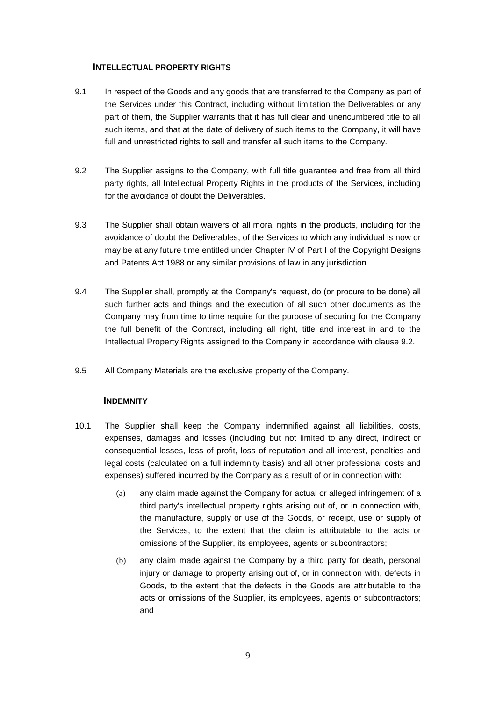# **INTELLECTUAL PROPERTY RIGHTS**

- 9.1 In respect of the Goods and any goods that are transferred to the Company as part of the Services under this Contract, including without limitation the Deliverables or any part of them, the Supplier warrants that it has full clear and unencumbered title to all such items, and that at the date of delivery of such items to the Company, it will have full and unrestricted rights to sell and transfer all such items to the Company.
- 9.2 The Supplier assigns to the Company, with full title guarantee and free from all third party rights, all Intellectual Property Rights in the products of the Services, including for the avoidance of doubt the Deliverables.
- 9.3 The Supplier shall obtain waivers of all moral rights in the products, including for the avoidance of doubt the Deliverables, of the Services to which any individual is now or may be at any future time entitled under Chapter IV of Part I of the Copyright Designs and Patents Act 1988 or any similar provisions of law in any jurisdiction.
- 9.4 The Supplier shall, promptly at the Company's request, do (or procure to be done) all such further acts and things and the execution of all such other documents as the Company may from time to time require for the purpose of securing for the Company the full benefit of the Contract, including all right, title and interest in and to the Intellectual Property Rights assigned to the Company in accordance with clause 9.2.
- 9.5 All Company Materials are the exclusive property of the Company.

# **INDEMNITY**

- 10.1 The Supplier shall keep the Company indemnified against all liabilities, costs, expenses, damages and losses (including but not limited to any direct, indirect or consequential losses, loss of profit, loss of reputation and all interest, penalties and legal costs (calculated on a full indemnity basis) and all other professional costs and expenses) suffered incurred by the Company as a result of or in connection with:
	- (a) any claim made against the Company for actual or alleged infringement of a third party's intellectual property rights arising out of, or in connection with, the manufacture, supply or use of the Goods, or receipt, use or supply of the Services, to the extent that the claim is attributable to the acts or omissions of the Supplier, its employees, agents or subcontractors;
	- (b) any claim made against the Company by a third party for death, personal injury or damage to property arising out of, or in connection with, defects in Goods, to the extent that the defects in the Goods are attributable to the acts or omissions of the Supplier, its employees, agents or subcontractors; and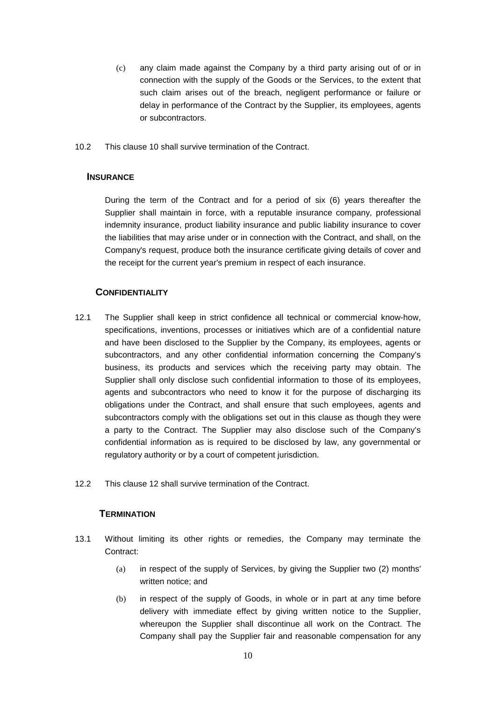- (c) any claim made against the Company by a third party arising out of or in connection with the supply of the Goods or the Services, to the extent that such claim arises out of the breach, negligent performance or failure or delay in performance of the Contract by the Supplier, its employees, agents or subcontractors.
- 10.2 This clause 10 shall survive termination of the Contract.

# **INSURANCE**

During the term of the Contract and for a period of six (6) years thereafter the Supplier shall maintain in force, with a reputable insurance company, professional indemnity insurance, product liability insurance and public liability insurance to cover the liabilities that may arise under or in connection with the Contract, and shall, on the Company's request, produce both the insurance certificate giving details of cover and the receipt for the current year's premium in respect of each insurance.

### **CONFIDENTIALITY**

- 12.1 The Supplier shall keep in strict confidence all technical or commercial know-how, specifications, inventions, processes or initiatives which are of a confidential nature and have been disclosed to the Supplier by the Company, its employees, agents or subcontractors, and any other confidential information concerning the Company's business, its products and services which the receiving party may obtain. The Supplier shall only disclose such confidential information to those of its employees, agents and subcontractors who need to know it for the purpose of discharging its obligations under the Contract, and shall ensure that such employees, agents and subcontractors comply with the obligations set out in this clause as though they were a party to the Contract. The Supplier may also disclose such of the Company's confidential information as is required to be disclosed by law, any governmental or regulatory authority or by a court of competent jurisdiction.
- 12.2 This clause 12 shall survive termination of the Contract.

# **TERMINATION**

- 13.1 Without limiting its other rights or remedies, the Company may terminate the Contract:
	- (a) in respect of the supply of Services, by giving the Supplier two (2) months' written notice; and
	- (b) in respect of the supply of Goods, in whole or in part at any time before delivery with immediate effect by giving written notice to the Supplier, whereupon the Supplier shall discontinue all work on the Contract. The Company shall pay the Supplier fair and reasonable compensation for any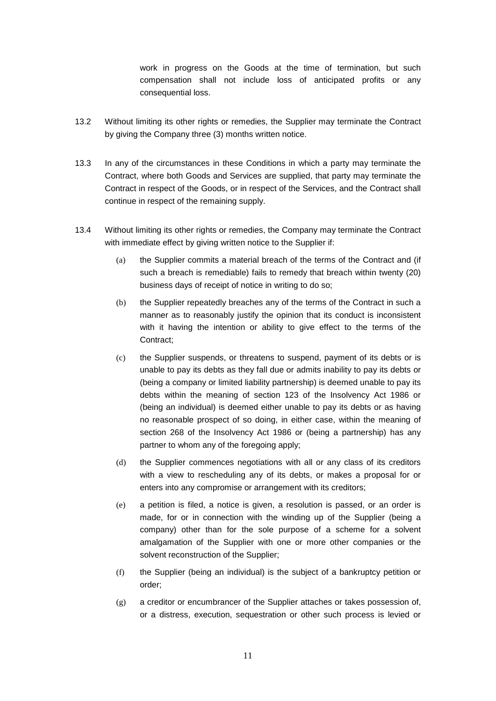work in progress on the Goods at the time of termination, but such compensation shall not include loss of anticipated profits or any consequential loss.

- 13.2 Without limiting its other rights or remedies, the Supplier may terminate the Contract by giving the Company three (3) months written notice.
- 13.3 In any of the circumstances in these Conditions in which a party may terminate the Contract, where both Goods and Services are supplied, that party may terminate the Contract in respect of the Goods, or in respect of the Services, and the Contract shall continue in respect of the remaining supply.
- 13.4 Without limiting its other rights or remedies, the Company may terminate the Contract with immediate effect by giving written notice to the Supplier if:
	- (a) the Supplier commits a material breach of the terms of the Contract and (if such a breach is remediable) fails to remedy that breach within twenty (20) business days of receipt of notice in writing to do so;
	- (b) the Supplier repeatedly breaches any of the terms of the Contract in such a manner as to reasonably justify the opinion that its conduct is inconsistent with it having the intention or ability to give effect to the terms of the Contract;
	- (c) the Supplier suspends, or threatens to suspend, payment of its debts or is unable to pay its debts as they fall due or admits inability to pay its debts or (being a company or limited liability partnership) is deemed unable to pay its debts within the meaning of section 123 of the Insolvency Act 1986 or (being an individual) is deemed either unable to pay its debts or as having no reasonable prospect of so doing, in either case, within the meaning of section 268 of the Insolvency Act 1986 or (being a partnership) has any partner to whom any of the foregoing apply;
	- (d) the Supplier commences negotiations with all or any class of its creditors with a view to rescheduling any of its debts, or makes a proposal for or enters into any compromise or arrangement with its creditors;
	- (e) a petition is filed, a notice is given, a resolution is passed, or an order is made, for or in connection with the winding up of the Supplier (being a company) other than for the sole purpose of a scheme for a solvent amalgamation of the Supplier with one or more other companies or the solvent reconstruction of the Supplier;
	- (f) the Supplier (being an individual) is the subject of a bankruptcy petition or order;
	- (g) a creditor or encumbrancer of the Supplier attaches or takes possession of, or a distress, execution, sequestration or other such process is levied or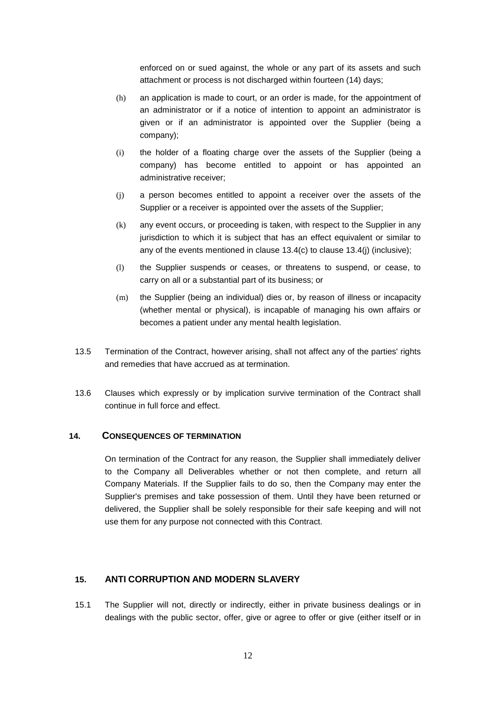enforced on or sued against, the whole or any part of its assets and such attachment or process is not discharged within fourteen (14) days;

- (h) an application is made to court, or an order is made, for the appointment of an administrator or if a notice of intention to appoint an administrator is given or if an administrator is appointed over the Supplier (being a company);
- (i) the holder of a floating charge over the assets of the Supplier (being a company) has become entitled to appoint or has appointed an administrative receiver;
- (j) a person becomes entitled to appoint a receiver over the assets of the Supplier or a receiver is appointed over the assets of the Supplier;
- (k) any event occurs, or proceeding is taken, with respect to the Supplier in any jurisdiction to which it is subject that has an effect equivalent or similar to any of the events mentioned in clause 13.4(c) to clause 13.4(j) (inclusive);
- (l) the Supplier suspends or ceases, or threatens to suspend, or cease, to carry on all or a substantial part of its business; or
- (m) the Supplier (being an individual) dies or, by reason of illness or incapacity (whether mental or physical), is incapable of managing his own affairs or becomes a patient under any mental health legislation.
- 13.5 Termination of the Contract, however arising, shall not affect any of the parties' rights and remedies that have accrued as at termination.
- 13.6 Clauses which expressly or by implication survive termination of the Contract shall continue in full force and effect.

# **14. CONSEQUENCES OF TERMINATION**

On termination of the Contract for any reason, the Supplier shall immediately deliver to the Company all Deliverables whether or not then complete, and return all Company Materials. If the Supplier fails to do so, then the Company may enter the Supplier's premises and take possession of them. Until they have been returned or delivered, the Supplier shall be solely responsible for their safe keeping and will not use them for any purpose not connected with this Contract.

# **15. ANTI CORRUPTION AND MODERN SLAVERY**

15.1 The Supplier will not, directly or indirectly, either in private business dealings or in dealings with the public sector, offer, give or agree to offer or give (either itself or in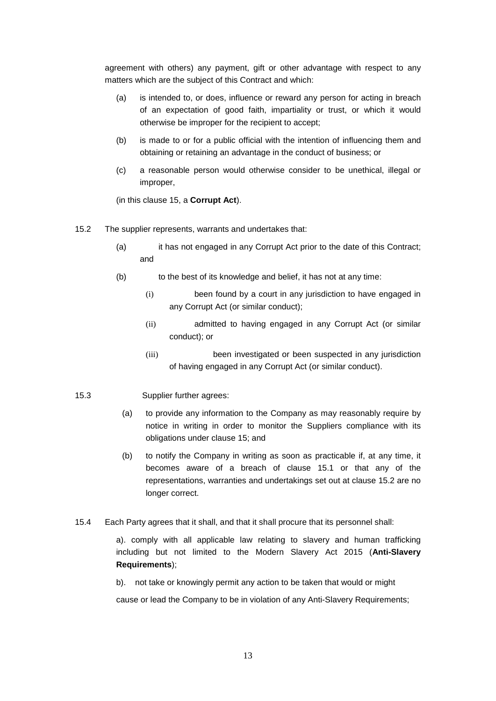agreement with others) any payment, gift or other advantage with respect to any matters which are the subject of this Contract and which:

- (a) is intended to, or does, influence or reward any person for acting in breach of an expectation of good faith, impartiality or trust, or which it would otherwise be improper for the recipient to accept;
- (b) is made to or for a public official with the intention of influencing them and obtaining or retaining an advantage in the conduct of business; or
- (c) a reasonable person would otherwise consider to be unethical, illegal or improper,

(in this clause 15, a **Corrupt Act**).

- 15.2 The supplier represents, warrants and undertakes that:
	- (a) it has not engaged in any Corrupt Act prior to the date of this Contract; and
	- (b) to the best of its knowledge and belief, it has not at any time:
		- (i) been found by a court in any jurisdiction to have engaged in any Corrupt Act (or similar conduct);
		- (ii) admitted to having engaged in any Corrupt Act (or similar conduct); or
		- (iii) been investigated or been suspected in any jurisdiction of having engaged in any Corrupt Act (or similar conduct).

#### 15.3 Supplier further agrees:

- (a) to provide any information to the Company as may reasonably require by notice in writing in order to monitor the Suppliers compliance with its obligations under clause 15; and
- (b) to notify the Company in writing as soon as practicable if, at any time, it becomes aware of a breach of clause 15.1 or that any of the representations, warranties and undertakings set out at clause 15.2 are no longer correct.
- 15.4 Each Party agrees that it shall, and that it shall procure that its personnel shall:

a). comply with all applicable law relating to slavery and human trafficking including but not limited to the Modern Slavery Act 2015 (**Anti-Slavery Requirements**);

b). not take or knowingly permit any action to be taken that would or might

cause or lead the Company to be in violation of any Anti-Slavery Requirements;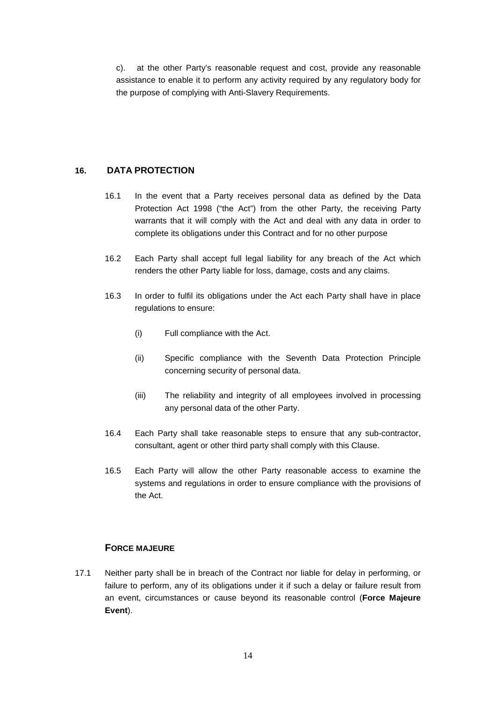c). at the other Party's reasonable request and cost, provide any reasonable assistance to enable it to perform any activity required by any regulatory body for the purpose of complying with Anti-Slavery Requirements.

# **16. DATA PROTECTION**

- 16.1 In the event that a Party receives personal data as defined by the Data Protection Act 1998 ("the Act") from the other Party, the receiving Party warrants that it will comply with the Act and deal with any data in order to complete its obligations under this Contract and for no other purpose
- 16.2 Each Party shall accept full legal liability for any breach of the Act which renders the other Party liable for loss, damage, costs and any claims.
- 16.3 In order to fulfil its obligations under the Act each Party shall have in place regulations to ensure:
	- (i) Full compliance with the Act.
	- (ii) Specific compliance with the Seventh Data Protection Principle concerning security of personal data.
	- (iii) The reliability and integrity of all employees involved in processing any personal data of the other Party.
- 16.4 Each Party shall take reasonable steps to ensure that any sub-contractor, consultant, agent or other third party shall comply with this Clause.
- 16.5 Each Party will allow the other Party reasonable access to examine the systems and regulations in order to ensure compliance with the provisions of the Act.

# **FORCE MAJEURE**

17.1 Neither party shall be in breach of the Contract nor liable for delay in performing, or failure to perform, any of its obligations under it if such a delay or failure result from an event, circumstances or cause beyond its reasonable control (**Force Majeure Event**).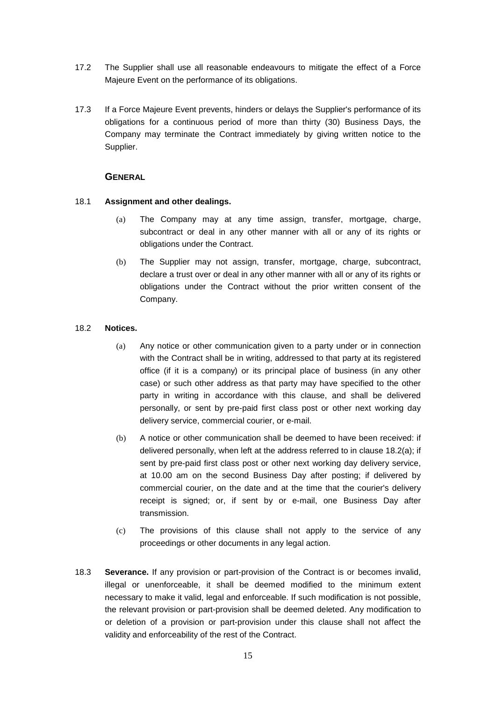- 17.2 The Supplier shall use all reasonable endeavours to mitigate the effect of a Force Majeure Event on the performance of its obligations.
- 17.3 If a Force Majeure Event prevents, hinders or delays the Supplier's performance of its obligations for a continuous period of more than thirty (30) Business Days, the Company may terminate the Contract immediately by giving written notice to the Supplier.

# **GENERAL**

# 18.1 **Assignment and other dealings.**

- (a) The Company may at any time assign, transfer, mortgage, charge, subcontract or deal in any other manner with all or any of its rights or obligations under the Contract.
- (b) The Supplier may not assign, transfer, mortgage, charge, subcontract, declare a trust over or deal in any other manner with all or any of its rights or obligations under the Contract without the prior written consent of the Company.

# 18.2 **Notices.**

- (a) Any notice or other communication given to a party under or in connection with the Contract shall be in writing, addressed to that party at its registered office (if it is a company) or its principal place of business (in any other case) or such other address as that party may have specified to the other party in writing in accordance with this clause, and shall be delivered personally, or sent by pre-paid first class post or other next working day delivery service, commercial courier, or e-mail.
- (b) A notice or other communication shall be deemed to have been received: if delivered personally, when left at the address referred to in clause 18.2(a); if sent by pre-paid first class post or other next working day delivery service, at 10.00 am on the second Business Day after posting; if delivered by commercial courier, on the date and at the time that the courier's delivery receipt is signed; or, if sent by or e-mail, one Business Day after transmission.
- (c) The provisions of this clause shall not apply to the service of any proceedings or other documents in any legal action.
- 18.3 **Severance.** If any provision or part-provision of the Contract is or becomes invalid, illegal or unenforceable, it shall be deemed modified to the minimum extent necessary to make it valid, legal and enforceable. If such modification is not possible, the relevant provision or part-provision shall be deemed deleted. Any modification to or deletion of a provision or part-provision under this clause shall not affect the validity and enforceability of the rest of the Contract.